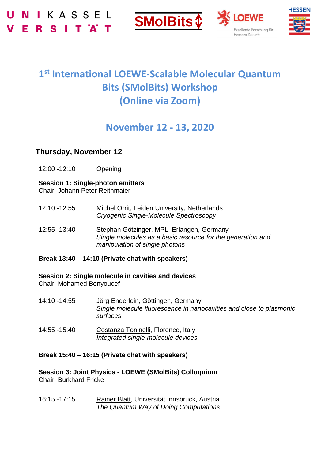





# **1 st International LOEWE-Scalable Molecular Quantum Bits (SMolBits) Workshop (Online via Zoom)**

## **November 12 - 13, 2020**

### **Thursday, November 12**

12:00 -12:10 Opening

### **Session 1: Single-photon emitters**

Chair: Johann Peter Reithmaier

- 12:10 -12:55 Michel Orrit, Leiden University, Netherlands *Cryogenic Single-Molecule Spectroscopy*
- 12:55 -13:40 Stephan Götzinger, MPL, Erlangen, Germany *Single molecules as a basic resource for the generation and manipulation of single photons*

#### **Break 13:40 – 14:10 (Private chat with speakers)**

**Session 2: Single molecule in cavities and devices** Chair: Mohamed Benyoucef

- 14:10 -14:55 Jörg Enderlein, Göttingen, Germany *Single molecule fluorescence in nanocavities and close to plasmonic surfaces*
- 14:55 -15:40 Costanza Toninelli, Florence, Italy *Integrated single-molecule devices*

#### **Break 15:40 – 16:15 (Private chat with speakers)**

**Session 3: Joint Physics - LOEWE (SMolBits) Colloquium** Chair: Burkhard Fricke

16:15 -17:15 Rainer Blatt, Universität Innsbruck, Austria *The Quantum Way of Doing Computations*